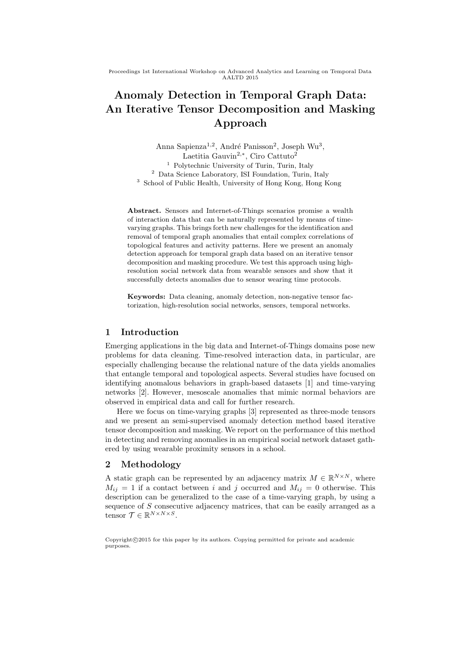Proceedings 1st International Workshop on Advanced Analytics and Learning on Temporal Data AALTD 2015

# Anomaly Detection in Temporal Graph Data: An Iterative Tensor Decomposition and Masking Approach

Anna Sapienza<sup>1,2</sup>, André Panisson<sup>2</sup>, Joseph Wu<sup>3</sup>, Laetitia Gauvin<sup>2,∗</sup>, Ciro Cattuto<sup>2</sup> <sup>1</sup> Polytechnic University of Turin, Turin, Italy <sup>2</sup> Data Science Laboratory, ISI Foundation, Turin, Italy <sup>3</sup> School of Public Health, University of Hong Kong, Hong Kong

Abstract. Sensors and Internet-of-Things scenarios promise a wealth of interaction data that can be naturally represented by means of timevarying graphs. This brings forth new challenges for the identification and removal of temporal graph anomalies that entail complex correlations of topological features and activity patterns. Here we present an anomaly detection approach for temporal graph data based on an iterative tensor decomposition and masking procedure. We test this approach using highresolution social network data from wearable sensors and show that it successfully detects anomalies due to sensor wearing time protocols.

Keywords: Data cleaning, anomaly detection, non-negative tensor factorization, high-resolution social networks, sensors, temporal networks.

# 1 Introduction

Emerging applications in the big data and Internet-of-Things domains pose new problems for data cleaning. Time-resolved interaction data, in particular, are especially challenging because the relational nature of the data yields anomalies that entangle temporal and topological aspects. Several studies have focused on identifying anomalous behaviors in graph-based datasets [1] and time-varying networks [2]. However, mesoscale anomalies that mimic normal behaviors are observed in empirical data and call for further research.

Here we focus on time-varying graphs [3] represented as three-mode tensors and we present an semi-supervised anomaly detection method based iterative tensor decomposition and masking. We report on the performance of this method in detecting and removing anomalies in an empirical social network dataset gathered by using wearable proximity sensors in a school.

# 2 Methodology

A static graph can be represented by an adjacency matrix  $M \in \mathbb{R}^{N \times N}$ , where  $M_{ij} = 1$  if a contact between i and j occurred and  $M_{ij} = 0$  otherwise. This description can be generalized to the case of a time-varying graph, by using a sequence of S consecutive adjacency matrices, that can be easily arranged as a tensor  $\mathcal{T} \in \mathbb{R}^{N \times N \times S}$ .

 $Convright@2015$  for this paper by its authors. Copying permitted for private and academic purposes.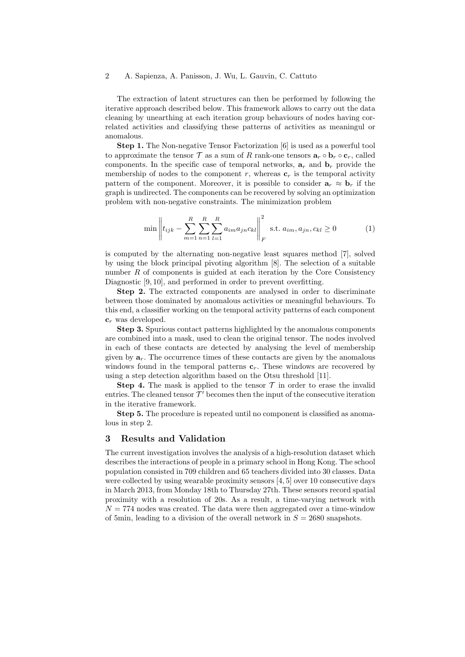## 2 A. Sapienza, A. Panisson, J. Wu, L. Gauvin, C. Cattuto

The extraction of latent structures can then be performed by following the iterative approach described below. This framework allows to carry out the data cleaning by unearthing at each iteration group behaviours of nodes having correlated activities and classifying these patterns of activities as meaningul or anomalous.

Step 1. The Non-negative Tensor Factorization [6] is used as a powerful tool to approximate the tensor T as a sum of R rank-one tensors  $\mathbf{a}_r \circ \mathbf{b}_r \circ \mathbf{c}_r$ , called components. In the specific case of temporal networks,  $a_r$  and  $b_r$  provide the membership of nodes to the component r, whereas  $\mathbf{c}_r$  is the temporal activity pattern of the component. Moreover, it is possible to consider  $a_r \approx b_r$  if the graph is undirected. The components can be recovered by solving an optimization problem with non-negative constraints. The minimization problem

$$
\min \left\| t_{ijk} - \sum_{m=1}^{R} \sum_{n=1}^{R} \sum_{l=1}^{R} a_{im} a_{jn} c_{kl} \right\|_{F}^{2} \text{ s.t. } a_{im}, a_{jn}, c_{kl} \ge 0 \tag{1}
$$

is computed by the alternating non-negative least squares method [7], solved by using the block principal pivoting algorithm [8]. The selection of a suitable number  $R$  of components is guided at each iteration by the Core Consistency Diagnostic [9, 10], and performed in order to prevent overfitting.

Step 2. The extracted components are analysed in order to discriminate between those dominated by anomalous activities or meaningful behaviours. To this end, a classifier working on the temporal activity patterns of each component  $c_r$  was developed.

Step 3. Spurious contact patterns highlighted by the anomalous components are combined into a mask, used to clean the original tensor. The nodes involved in each of these contacts are detected by analysing the level of membership given by  $a_r$ . The occurrence times of these contacts are given by the anomalous windows found in the temporal patterns  $c_r$ . These windows are recovered by using a step detection algorithm based on the Otsu threshold [11].

**Step 4.** The mask is applied to the tensor  $\mathcal T$  in order to erase the invalid entries. The cleaned tensor  $\mathcal{T}'$  becomes then the input of the consecutive iteration in the iterative framework.

Step 5. The procedure is repeated until no component is classified as anomalous in step 2.

#### 3 Results and Validation

The current investigation involves the analysis of a high-resolution dataset which describes the interactions of people in a primary school in Hong Kong. The school population consisted in 709 children and 65 teachers divided into 30 classes. Data were collected by using wearable proximity sensors [4, 5] over 10 consecutive days in March 2013, from Monday 18th to Thursday 27th. These sensors record spatial proximity with a resolution of 20s. As a result, a time-varying network with  $N = 774$  nodes was created. The data were then aggregated over a time-window of 5min, leading to a division of the overall network in  $S = 2680$  snapshots.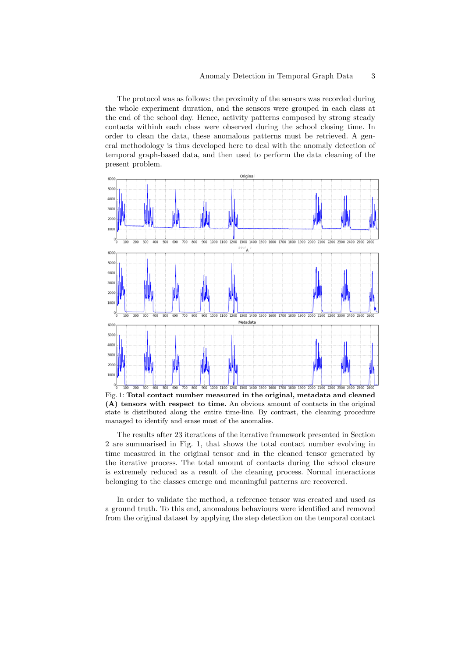The protocol was as follows: the proximity of the sensors was recorded during the whole experiment duration, and the sensors were grouped in each class at the end of the school day. Hence, activity patterns composed by strong steady contacts withinh each class were observed during the school closing time. In order to clean the data, these anomalous patterns must be retrieved. A general methodology is thus developed here to deal with the anomaly detection of temporal graph-based data, and then used to perform the data cleaning of the present problem.



Fig. 1: Total contact number measured in the original, metadata and cleaned (A) tensors with respect to time. An obvious amount of contacts in the original state is distributed along the entire time-line. By contrast, the cleaning procedure managed to identify and erase most of the anomalies.

The results after 23 iterations of the iterative framework presented in Section 2 are summarised in Fig. 1, that shows the total contact number evolving in time measured in the original tensor and in the cleaned tensor generated by the iterative process. The total amount of contacts during the school closure is extremely reduced as a result of the cleaning process. Normal interactions belonging to the classes emerge and meaningful patterns are recovered.

In order to validate the method, a reference tensor was created and used as a ground truth. To this end, anomalous behaviours were identified and removed from the original dataset by applying the step detection on the temporal contact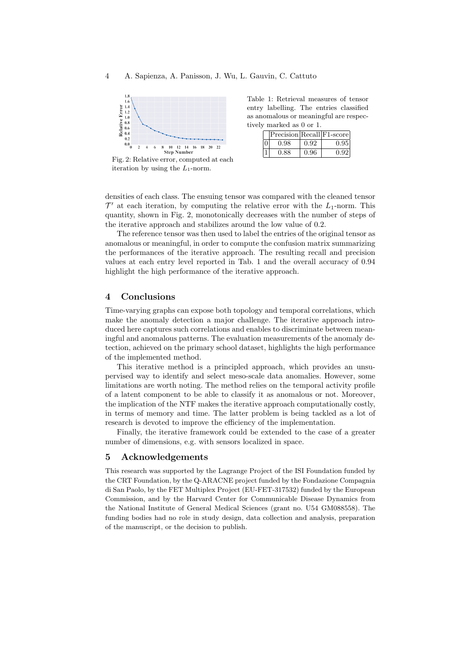

Fig. 2: Relative error, computed at each iteration by using the  $L_1$ -norm.

Table 1: Retrieval measures of tensor entry labelling. The entries classified as anomalous or meaningful are respectively marked as 0 or 1.

|          | $ Precision Recall F1-score$ |      |      |
|----------|------------------------------|------|------|
| $\Omega$ | 0.98                         | 0.92 | 0.95 |
|          | 0.88                         | 0.96 | 0.92 |

densities of each class. The ensuing tensor was compared with the cleaned tensor  $\mathcal{T}'$  at each iteration, by computing the relative error with the  $L_1$ -norm. This quantity, shown in Fig. 2, monotonically decreases with the number of steps of the iterative approach and stabilizes around the low value of 0.2.

The reference tensor was then used to label the entries of the original tensor as anomalous or meaningful, in order to compute the confusion matrix summarizing the performances of the iterative approach. The resulting recall and precision values at each entry level reported in Tab. 1 and the overall accuracy of 0.94 highlight the high performance of the iterative approach.

## 4 Conclusions

Time-varying graphs can expose both topology and temporal correlations, which make the anomaly detection a major challenge. The iterative approach introduced here captures such correlations and enables to discriminate between meaningful and anomalous patterns. The evaluation measurements of the anomaly detection, achieved on the primary school dataset, highlights the high performance of the implemented method.

This iterative method is a principled approach, which provides an unsupervised way to identify and select meso-scale data anomalies. However, some limitations are worth noting. The method relies on the temporal activity profile of a latent component to be able to classify it as anomalous or not. Moreover, the implication of the NTF makes the iterative approach computationally costly, in terms of memory and time. The latter problem is being tackled as a lot of research is devoted to improve the efficiency of the implementation.

Finally, the iterative framework could be extended to the case of a greater number of dimensions, e.g. with sensors localized in space.

### 5 Acknowledgements

This research was supported by the Lagrange Project of the ISI Foundation funded by the CRT Foundation, by the Q-ARACNE project funded by the Fondazione Compagnia di San Paolo, by the FET Multiplex Project (EU-FET-317532) funded by the European Commission, and by the Harvard Center for Communicable Disease Dynamics from the National Institute of General Medical Sciences (grant no. U54 GM088558). The funding bodies had no role in study design, data collection and analysis, preparation of the manuscript, or the decision to publish.